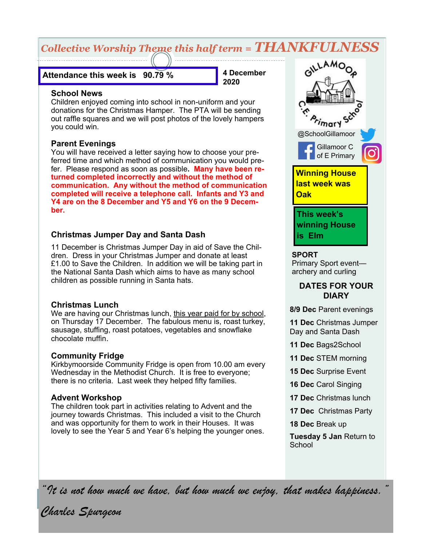# *Collective Worship Theme this half term = THANKFULNESS*

#### **Attendance this week is 90.79 %**

**4 December 2020**

#### **School News**

Children enjoyed coming into school in non-uniform and your donations for the Christmas Hamper. The PTA will be sending out raffle squares and we will post photos of the lovely hampers you could win.

### **Parent Evenings**

You will have received a letter saying how to choose your preferred time and which method of communication you would prefer. Please respond as soon as possible**. Many have been returned completed incorrectly and without the method of communication. Any without the method of communication completed will receive a telephone call. Infants and Y3 and Y4 are on the 8 December and Y5 and Y6 on the 9 December.**

### **Christmas Jumper Day and Santa Dash**

11 December is Christmas Jumper Day in aid of Save the Children. Dress in your Christmas Jumper and donate at least £1.00 to Save the Children. In addition we will be taking part in the National Santa Dash which aims to have as many school children as possible running in Santa hats.

### **Christmas Lunch**

We are having our Christmas lunch, this year paid for by school, on Thursday 17 December. The fabulous menu is, roast turkey, sausage, stuffing, roast potatoes, vegetables and snowflake chocolate muffin.

### **Community Fridge**

Kirkbymoorside Community Fridge is open from 10.00 am every Wednesday in the Methodist Church. It is free to everyone; there is no criteria. Last week they helped fifty families.

### **Advent Workshop**

The children took part in activities relating to Advent and the journey towards Christmas. This included a visit to the Church and was opportunity for them to work in their Houses. It was lovely to see the Year 5 and Year 6's helping the younger ones.



#### **SPORT**

Primary Sport event archery and curling

### **DATES FOR YOUR DIARY**

**8/9 Dec** Parent evenings

**11 Dec** Christmas Jumper Day and Santa Dash

- **11 Dec** Bags2School
- **11 Dec** STEM morning
- **15 Dec** Surprise Event
- **16 Dec** Carol Singing
- **17 Dec** Christmas lunch
- **17 Dec** Christmas Party
- **18 Dec** Break up

**Tuesday 5 Jan** Return to **School** 

*"It is not how much we have, but how much we enjoy, that makes happiness."*

*Charles Spurgeon*